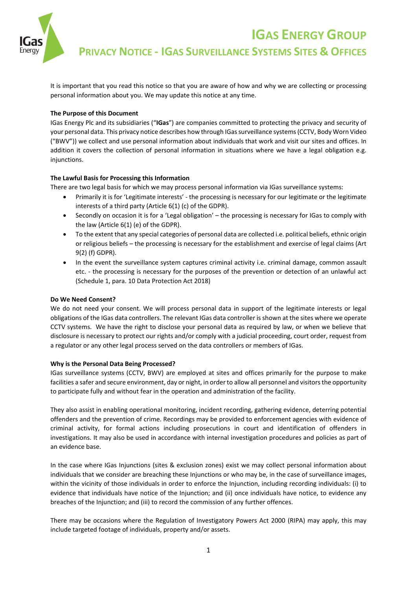

**IGAS ENERGY GROUP** 

**PRIVACY NOTICE - IGAS SURVEILLANCE SYSTEMS SITES & OFFICES** 

It is important that you read this notice so that you are aware of how and why we are collecting or processing personal information about you. We may update this notice at any time.

# **The Purpose of this Document**

IGas Energy Plc and its subsidiaries ("**IGas**") are companies committed to protecting the privacy and security of your personal data. This privacy notice describes how through IGas surveillance systems (CCTV, Body Worn Video ("BWV")) we collect and use personal information about individuals that work and visit our sites and offices. In addition it covers the collection of personal information in situations where we have a legal obligation e.g. injunctions.

# **The Lawful Basis for Processing this Information**

There are two legal basis for which we may process personal information via IGas surveillance systems:

- Primarily it is for 'Legitimate interests' the processing is necessary for our legitimate or the legitimate interests of a third party (Article 6(1) (c) of the GDPR).
- Secondly on occasion it is for a 'Legal obligation' the processing is necessary for IGas to comply with the law (Article 6(1) (e) of the GDPR).
- To the extent that any special categories of personal data are collected i.e. political beliefs, ethnic origin or religious beliefs – the processing is necessary for the establishment and exercise of legal claims (Art 9(2) (f) GDPR).
- In the event the surveillance system captures criminal activity i.e. criminal damage, common assault etc. - the processing is necessary for the purposes of the prevention or detection of an unlawful act (Schedule 1, para. 10 Data Protection Act 2018)

## **Do We Need Consent?**

We do not need your consent. We will process personal data in support of the legitimate interests or legal obligations of the IGas data controllers. The relevant IGas data controller is shown at the sites where we operate CCTV systems. We have the right to disclose your personal data as required by law, or when we believe that disclosure is necessary to protect our rights and/or comply with a judicial proceeding, court order, request from a regulator or any other legal process served on the data controllers or members of IGas.

## **Why is the Personal Data Being Processed?**

IGas surveillance systems (CCTV, BWV) are employed at sites and offices primarily for the purpose to make facilities a safer and secure environment, day or night, in order to allow all personnel and visitors the opportunity to participate fully and without fear in the operation and administration of the facility.

They also assist in enabling operational monitoring, incident recording, gathering evidence, deterring potential offenders and the prevention of crime. Recordings may be provided to enforcement agencies with evidence of criminal activity, for formal actions including prosecutions in court and identification of offenders in investigations. It may also be used in accordance with internal investigation procedures and policies as part of an evidence base.

In the case where IGas Injunctions (sites & exclusion zones) exist we may collect personal information about individuals that we consider are breaching these Injunctions or who may be, in the case of surveillance images, within the vicinity of those individuals in order to enforce the Injunction, including recording individuals: (i) to evidence that individuals have notice of the Injunction; and (ii) once individuals have notice, to evidence any breaches of the Injunction; and (iii) to record the commission of any further offences.

There may be occasions where the Regulation of Investigatory Powers Act 2000 (RIPA) may apply, this may include targeted footage of individuals, property and/or assets.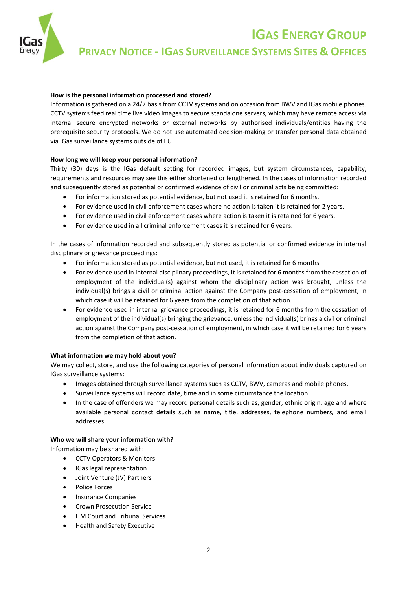

**IGAS ENERGY GROUP** 

**PRIVACY NOTICE - IGAS SURVEILLANCE SYSTEMS SITES & OFFICES** 

# **How is the personal information processed and stored?**

Information is gathered on a 24/7 basis from CCTV systems and on occasion from BWV and IGas mobile phones. CCTV systems feed real time live video images to secure standalone servers, which may have remote access via internal secure encrypted networks or external networks by authorised individuals/entities having the prerequisite security protocols. We do not use automated decision-making or transfer personal data obtained via IGas surveillance systems outside of EU.

## **How long we will keep your personal information?**

Thirty (30) days is the IGas default setting for recorded images, but system circumstances, capability, requirements and resources may see this either shortened or lengthened. In the cases of information recorded and subsequently stored as potential or confirmed evidence of civil or criminal acts being committed:

- For information stored as potential evidence, but not used it is retained for 6 months.
- For evidence used in civil enforcement cases where no action is taken it is retained for 2 years.
- For evidence used in civil enforcement cases where action is taken it is retained for 6 years.
- For evidence used in all criminal enforcement cases it is retained for 6 years.

In the cases of information recorded and subsequently stored as potential or confirmed evidence in internal disciplinary or grievance proceedings:

- For information stored as potential evidence, but not used, it is retained for 6 months
- For evidence used in internal disciplinary proceedings, it is retained for 6 months from the cessation of employment of the individual(s) against whom the disciplinary action was brought, unless the individual(s) brings a civil or criminal action against the Company post-cessation of employment, in which case it will be retained for 6 years from the completion of that action.
- For evidence used in internal grievance proceedings, it is retained for 6 months from the cessation of employment of the individual(s) bringing the grievance, unless the individual(s) brings a civil or criminal action against the Company post-cessation of employment, in which case it will be retained for 6 years from the completion of that action.

# **What information we may hold about you?**

We may collect, store, and use the following categories of personal information about individuals captured on IGas surveillance systems:

- Images obtained through surveillance systems such as CCTV, BWV, cameras and mobile phones.
- Surveillance systems will record date, time and in some circumstance the location
- In the case of offenders we may record personal details such as; gender, ethnic origin, age and where available personal contact details such as name, title, addresses, telephone numbers, and email addresses.

## **Who we will share your information with?**

Information may be shared with:

- **•** CCTV Operators & Monitors
- IGas legal representation
- Joint Venture (JV) Partners
- Police Forces
- Insurance Companies
- Crown Prosecution Service
- HM Court and Tribunal Services
- Health and Safety Executive